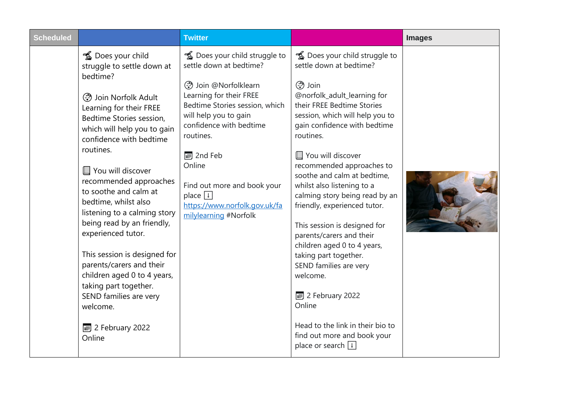| <b>Scheduled</b> |                                                                                                                                                                                                                                                                                                                                                                                                                                                                                                                                                                                                                                              | <b>Twitter</b>                                                                                                                                                                                                                                                                                                                                            |                                                                                                                                                                                                                                                                                                                                                                                                                                                                                                                                                                                                                                                                                                                                      | <b>Images</b> |
|------------------|----------------------------------------------------------------------------------------------------------------------------------------------------------------------------------------------------------------------------------------------------------------------------------------------------------------------------------------------------------------------------------------------------------------------------------------------------------------------------------------------------------------------------------------------------------------------------------------------------------------------------------------------|-----------------------------------------------------------------------------------------------------------------------------------------------------------------------------------------------------------------------------------------------------------------------------------------------------------------------------------------------------------|--------------------------------------------------------------------------------------------------------------------------------------------------------------------------------------------------------------------------------------------------------------------------------------------------------------------------------------------------------------------------------------------------------------------------------------------------------------------------------------------------------------------------------------------------------------------------------------------------------------------------------------------------------------------------------------------------------------------------------------|---------------|
|                  | <b>1</b> Does your child<br>struggle to settle down at<br>bedtime?<br><b><sup>→</sup></b> Join Norfolk Adult<br>Learning for their FREE<br>Bedtime Stories session,<br>which will help you to gain<br>confidence with bedtime<br>routines.<br>You will discover<br>recommended approaches<br>to soothe and calm at<br>bedtime, whilst also<br>listening to a calming story<br>being read by an friendly,<br>experienced tutor.<br>This session is designed for<br>parents/carers and their<br>children aged 0 to 4 years,<br>taking part together.<br>SEND families are very<br>welcome.<br>$\boxed{\blacksquare}$ 2 February 2022<br>Online | <b>16</b> Does your child struggle to<br>settle down at bedtime?<br>@ Join @Norfolklearn<br>Learning for their FREE<br>Bedtime Stories session, which<br>will help you to gain<br>confidence with bedtime<br>routines.<br>2nd Feb<br>Online<br>Find out more and book your<br>place $\boxed{1}$<br>https://www.norfolk.gov.uk/fa<br>milylearning #Norfolk | <b>16</b> Does your child struggle to<br>settle down at bedtime?<br>$\binom{3}{10}$ Join<br>@norfolk_adult_learning for<br>their FREE Bedtime Stories<br>session, which will help you to<br>gain confidence with bedtime<br>routines.<br>You will discover<br>recommended approaches to<br>soothe and calm at bedtime,<br>whilst also listening to a<br>calming story being read by an<br>friendly, experienced tutor.<br>This session is designed for<br>parents/carers and their<br>children aged 0 to 4 years,<br>taking part together.<br>SEND families are very<br>welcome.<br>$\overline{\bullet}$ 2 February 2022<br>Online<br>Head to the link in their bio to<br>find out more and book your<br>place or search $\boxed{1}$ |               |